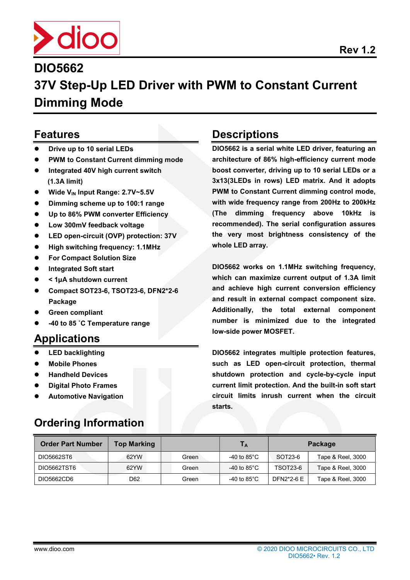

# 37V Step-Up LED Driver with PWM to Constant Current Dimming Mode

### Features

- Drive up to 10 serial LEDs
- PWM to Constant Current dimming mode
- Integrated 40V high current switch (1.3A limit)
- Wide V<sub>IN</sub> Input Range: 2.7V~5.5V
- Dimming scheme up to 100:1 range
- Up to 86% PWM converter Efficiency
- Low 300mV feedback voltage
- LED open-circuit (OVP) protection: 37V
- High switching frequency: 1.1MHz
- For Compact Solution Size
- Integrated Soft start
- < 1µA shutdown current
- Compact SOT23-6, TSOT23-6, DFN2\*2-6 Package
- Green compliant
- -40 to 85 ˚C Temperature range

## Applications

- LED backlighting
- Mobile Phones
- Handheld Devices
- Digital Photo Frames
- Automotive Navigation

## Ordering Information

## **Descriptions**

DIO5662 is a serial white LED driver, featuring an architecture of 86% high-efficiency current mode boost converter, driving up to 10 serial LEDs or a 3x13(3LEDs in rows) LED matrix. And it adopts PWM to Constant Current dimming control mode, with wide frequency range from 200Hz to 200kHz (The dimming frequency above 10kHz is recommended). The serial configuration assures the very most brightness consistency of the whole LED array.

DIO5662 works on 1.1MHz switching frequency, which can maximize current output of 1.3A limit and achieve high current conversion efficiency and result in external compact component size. Additionally, the total external component number is minimized due to the integrated low-side power MOSFET.

DIO5662 integrates multiple protection features, such as LED open-circuit protection, thermal shutdown protection and cycle-by-cycle input current limit protection. And the built-in soft start circuit limits inrush current when the circuit starts.

| <b>Order Part Number</b> | <b>Top Marking</b> |       | IА                     | Package    |                   |
|--------------------------|--------------------|-------|------------------------|------------|-------------------|
| DIO5662ST6               | 62YW               | Green | -40 to 85 $^{\circ}$ C | SOT23-6    | Tape & Reel, 3000 |
| DIO5662TST6              | 62YW               | Green | -40 to 85 $^{\circ}$ C | TSOT23-6   | Tape & Reel, 3000 |
| DIO5662CD6               | D62                | Green | -40 to 85 $^{\circ}$ C | DFN2*2-6 E | Tape & Reel, 3000 |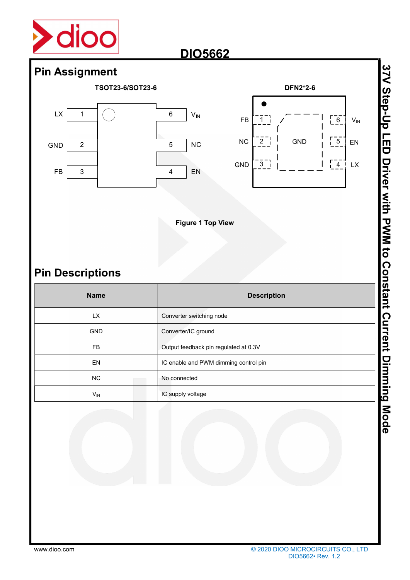



## Pin Descriptions

| <b>Pin Assignment</b>   |                                                   |                                                          |                                                                      |                                                         |
|-------------------------|---------------------------------------------------|----------------------------------------------------------|----------------------------------------------------------------------|---------------------------------------------------------|
| TSOT23-6/SOT23-6        |                                                   | <b>DFN2*2-6</b>                                          |                                                                      |                                                         |
| LX<br>1                 | $\,6$<br>$\mathsf{V}_{\mathsf{IN}}$<br>${\sf FB}$ | $\overline{1}$                                           | $\begin{bmatrix} 6 \\ 6 \end{bmatrix}$<br>$\mathsf{V}_{\mathsf{IN}}$ |                                                         |
| GND<br>$\overline{c}$   | <b>NC</b><br>${\sf NC}$<br>$\overline{5}$         | $\overline{2}$ $\overline{1}$<br><b>GND</b>              | $\begin{bmatrix} 5 \\ -5 \end{bmatrix}$<br>EN                        |                                                         |
| ${\sf FB}$<br>3         | GND<br>EN<br>4                                    | $\frac{1}{3}$                                            | $\begin{bmatrix} -4 \\ -4 \end{bmatrix}$<br>$\mathsf{L}\mathsf{X}$   |                                                         |
|                         |                                                   |                                                          |                                                                      |                                                         |
|                         | <b>Figure 1 Top View</b>                          |                                                          |                                                                      | 37V Step-Up LED Driver with PWM to Constant Current Dim |
| <b>Pin Descriptions</b> |                                                   |                                                          |                                                                      |                                                         |
| <b>Name</b>             |                                                   | <b>Description</b>                                       |                                                                      |                                                         |
| LX                      | Converter switching node                          |                                                          |                                                                      |                                                         |
| GND                     | Converter/IC ground                               |                                                          |                                                                      |                                                         |
| FB                      | Output feedback pin regulated at 0.3V             |                                                          |                                                                      |                                                         |
| EN                      | IC enable and PWM dimming control pin             |                                                          |                                                                      |                                                         |
| ${\sf NC}$              | No connected                                      |                                                          |                                                                      |                                                         |
| $V_{\text{IN}}$         | IC supply voltage                                 |                                                          |                                                                      |                                                         |
|                         |                                                   |                                                          |                                                                      | ming Mode                                               |
| www.dioo.com            |                                                   | © 2020 DIOO MICROCIRCUITS CO., LTD<br>DIO5662 · Rev. 1.2 |                                                                      |                                                         |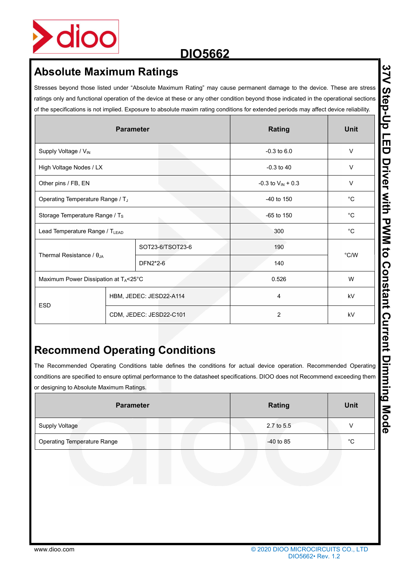

|                                            |                         | Stresses beyond those listed under "Absolute Maximum Rating" may cause permanent damage to the device. These are stress<br>ratings only and functional operation of the device at these or any other condition beyond those indicated in the operational sections                               |                               |              |  |
|--------------------------------------------|-------------------------|-------------------------------------------------------------------------------------------------------------------------------------------------------------------------------------------------------------------------------------------------------------------------------------------------|-------------------------------|--------------|--|
|                                            |                         | of the specifications is not implied. Exposure to absolute maxim rating conditions for extended periods may affect device reliability.                                                                                                                                                          |                               |              |  |
|                                            | <b>Parameter</b>        |                                                                                                                                                                                                                                                                                                 | Rating                        | <b>Unit</b>  |  |
| Supply Voltage / V <sub>IN</sub>           |                         |                                                                                                                                                                                                                                                                                                 | $-0.3$ to $6.0$               | V            |  |
| High Voltage Nodes / LX                    |                         |                                                                                                                                                                                                                                                                                                 | $-0.3$ to $40$                | V            |  |
| Other pins / FB, EN                        |                         |                                                                                                                                                                                                                                                                                                 | -0.3 to $V_{\text{IN}}$ + 0.3 | V            |  |
| Operating Temperature Range / TJ           |                         |                                                                                                                                                                                                                                                                                                 | -40 to 150                    | $^{\circ}$ C |  |
| Storage Temperature Range / Ts             |                         |                                                                                                                                                                                                                                                                                                 | $-65$ to $150$                | $^{\circ}C$  |  |
| Lead Temperature Range / T <sub>LEAD</sub> |                         |                                                                                                                                                                                                                                                                                                 | 300                           | $^{\circ}$ C |  |
|                                            |                         | SOT23-6/TSOT23-6                                                                                                                                                                                                                                                                                | 190                           | °C/W         |  |
| Thermal Resistance / $\theta_{JA}$         |                         | DFN2*2-6                                                                                                                                                                                                                                                                                        | 140                           |              |  |
| Maximum Power Dissipation at TA<25°C       |                         |                                                                                                                                                                                                                                                                                                 | 0.526                         | W            |  |
|                                            | HBM, JEDEC: JESD22-A114 |                                                                                                                                                                                                                                                                                                 | 4                             | kV           |  |
| <b>ESD</b>                                 |                         |                                                                                                                                                                                                                                                                                                 |                               |              |  |
|                                            |                         | CDM, JEDEC: JESD22-C101                                                                                                                                                                                                                                                                         | $\overline{c}$                | kV           |  |
| or designing to Absolute Maximum Ratings.  | <b>Parameter</b>        | <b>Recommend Operating Conditions</b><br>The Recommended Operating Conditions table defines the conditions for actual device operation. Recommended Operating<br>conditions are specified to ensure optimal performance to the datasheet specifications. DIOO does not Recommend exceeding them | Rating                        | <b>Unit</b>  |  |
| <b>Supply Voltage</b>                      |                         |                                                                                                                                                                                                                                                                                                 | 2.7 to 5.5                    | V            |  |

## Recommend Operating Conditions

| <b>Parameter</b>                   | <b>Rating</b> | <b>Unit</b> |  |
|------------------------------------|---------------|-------------|--|
| <b>Supply Voltage</b>              | 2.7 to 5.5    | \/          |  |
| <b>Operating Temperature Range</b> | $-40$ to 85   | °С          |  |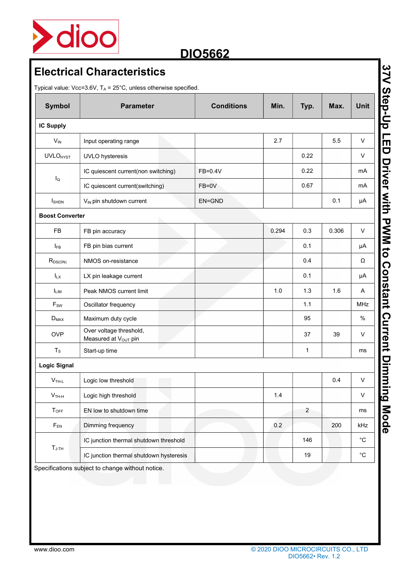

| Symbol                 | <b>Parameter</b>                                            | <b>Conditions</b> | Min.  | Typ.           | Max.  | Unit              |
|------------------------|-------------------------------------------------------------|-------------------|-------|----------------|-------|-------------------|
| IC Supply              |                                                             |                   |       |                |       |                   |
| $V_{IN}$               | Input operating range                                       |                   | 2.7   |                | 5.5   | V                 |
| <b>UVLOHYST</b>        | UVLO hysteresis                                             |                   |       | 0.22           |       | $\mathsf{V}$      |
|                        | IC quiescent current(non switching)                         | FB=0.4V           |       | 0.22           |       | mA                |
| $I_{\mathsf{Q}}$       | IC quiescent current(switching)                             | FB=0V             |       | 0.67           |       | mA                |
| <b>I</b> SHDN          | V <sub>IN</sub> pin shutdown current                        | EN=GND            |       |                | 0.1   | $\mu A$           |
| <b>Boost Converter</b> |                                                             |                   |       |                |       |                   |
| <b>FB</b>              | FB pin accuracy                                             |                   | 0.294 | 0.3            | 0.306 | $\mathsf{V}$      |
| $I_{FB}$               | FB pin bias current                                         |                   |       | 0.1            |       | μA                |
| $R_{DS(ON)}$           | NMOS on-resistance                                          |                   |       | 0.4            |       | Ω                 |
| $I_{LX}$               | LX pin leakage current                                      |                   |       | 0.1            |       | μA                |
| <b>ILIM</b>            | Peak NMOS current limit                                     |                   | $1.0$ | 1.3            | 1.6   | A                 |
| $F_{SW}$               | Oscillator frequency                                        |                   |       | 1.1            |       | <b>MHz</b>        |
| $D_{MAX}$              | Maximum duty cycle                                          |                   |       | 95             |       | $\%$              |
| <b>OVP</b>             | Over voltage threshold,<br>Measured at V <sub>OUT</sub> pin |                   |       | 37             | 39    | V                 |
| $T_{\rm S}$            | Start-up time                                               |                   |       | $\mathbf{1}$   |       | ms                |
| <b>Logic Signal</b>    |                                                             |                   |       |                |       |                   |
| $V$ TH-L               | Logic low threshold                                         |                   |       |                | 0.4   | $\sf V$           |
| $V$ <sub>TH-H</sub>    | Logic high threshold                                        |                   | 1.4   |                |       | $\mathsf{V}$      |
| $T_{OFF}$              | EN low to shutdown time                                     |                   |       | $\overline{2}$ |       | ms                |
| $F_{EN}$               | Dimming frequency                                           |                   | 0.2   |                | 200   | kHz               |
|                        | IC junction thermal shutdown threshold                      |                   |       | 146            |       | $^{\circ}{\rm C}$ |
| $T_{\text{J-TH}}$      | IC junction thermal shutdown hysteresis                     |                   |       | 19             |       | $^{\circ}{\rm C}$ |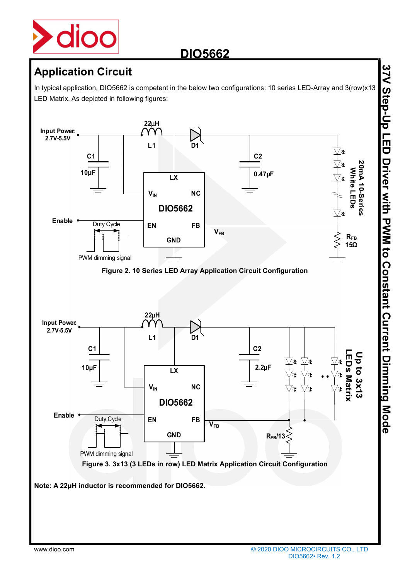

In typical application, DIO5662 is competent in the below two configurations: 10 series LED-Array and 3(row)x13 LED Matrix. As depicted in following figures:

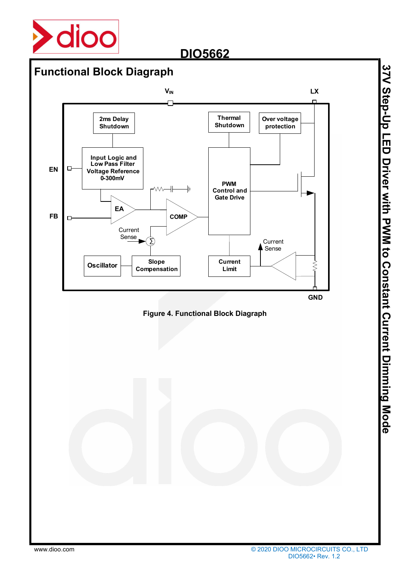

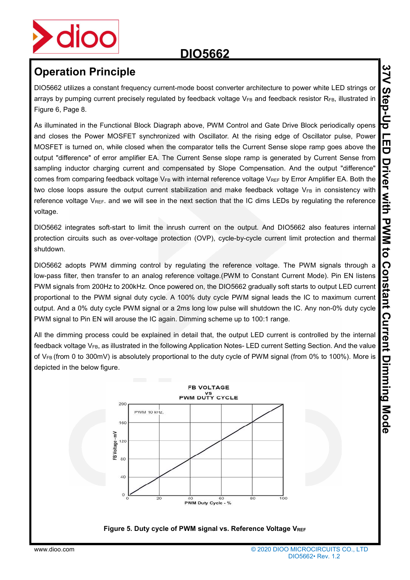

DIO5662 utilizes a constant frequency current-mode boost converter architecture to power white LED strings or arrays by pumping current precisely regulated by feedback voltage VFB and feedback resistor RFB, illustrated in Figure 6, Page 8.

As illuminated in the Functional Block Diagraph above, PWM Control and Gate Drive Block periodically opens and closes the Power MOSFET synchronized with Oscillator. At the rising edge of Oscillator pulse, Power MOSFET is turned on, while closed when the comparator tells the Current Sense slope ramp goes above the output "difference" of error amplifier EA. The Current Sense slope ramp is generated by Current Sense from sampling inductor charging current and compensated by Slope Compensation. And the output "difference" comes from comparing feedback voltage  $V_{FB}$  with internal reference voltage  $V_{REF}$  by Error Amplifier EA. Both the two close loops assure the output current stabilization and make feedback voltage  $V_{FB}$  in consistency with reference voltage V<sub>REF</sub>. and we will see in the next section that the IC dims LEDs by regulating the reference voltage.

DIO5662 integrates soft-start to limit the inrush current on the output. And DIO5662 also features internal protection circuits such as over-voltage protection (OVP), cycle-by-cycle current limit protection and thermal shutdown.

DIO5662 adopts PWM dimming control by regulating the reference voltage. The PWM signals through a low-pass filter, then transfer to an analog reference voltage.(PWM to Constant Current Mode). Pin EN listens PWM signals from 200Hz to 200kHz. Once powered on, the DIO5662 gradually soft starts to output LED current proportional to the PWM signal duty cycle. A 100% duty cycle PWM signal leads the IC to maximum current output. And a 0% duty cycle PWM signal or a 2ms long low pulse will shutdown the IC. Any non-0% duty cycle PWM signal to Pin EN will arouse the IC again. Dimming scheme up to 100:1 range.

All the dimming process could be explained in detail that, the output LED current is controlled by the internal feedback voltage V<sub>FB</sub>, as illustrated in the following Application Notes- LED current Setting Section. And the value of V<sub>FB</sub> (from 0 to 300mV) is absolutely proportional to the duty cycle of PWM signal (from 0% to 100%). More is depicted in the below figure.

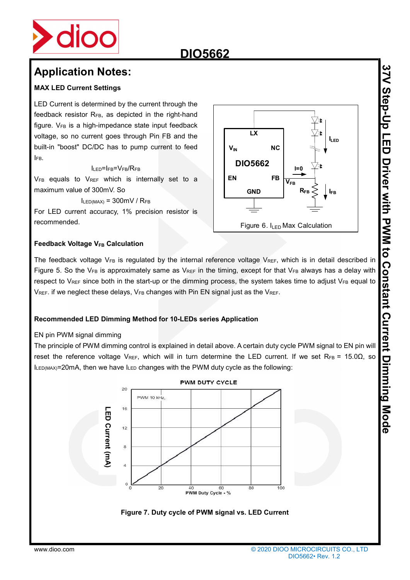

### MAX LED Current Settings

LED Current is determined by the current through the feedback resistor  $R_{FB}$ , as depicted in the right-hand figure.  $V_{FB}$  is a high-impedance state input feedback voltage, so no current goes through Pin FB and the built-in "boost" DC/DC has to pump current to feed IFB.

### ILED=IFB=VFB/RFB

V<sub>FB</sub> equals to V<sub>REF</sub> which is internally set to a maximum value of 300mV. So

 $I_{LED(MAX)} = 300$ mV /  $R_{FB}$ 

For LED current accuracy, 1% precision resistor is recommended.



### Feedback Voltage V<sub>FB</sub> Calculation

The feedback voltage  $V_{FB}$  is regulated by the internal reference voltage  $V_{REF}$ , which is in detail described in Figure 5. So the VFB is approximately same as VREF in the timing, except for that VFB always has a delay with respect to VREF since both in the start-up or the dimming process, the system takes time to adjust VFB equal to  $V_{REF}$ . if we neglect these delays,  $V_{FB}$  changes with Pin EN signal just as the  $V_{REF}$ .

### Recommended LED Dimming Method for 10-LEDs series Application

### EN pin PWM signal dimming

The principle of PWM dimming control is explained in detail above. A certain duty cycle PWM signal to EN pin will reset the reference voltage VREF, which will in turn determine the LED current. If we set RFB = 15.0 $\Omega$ , so  $I_{LED(MAX)}=20$ mA, then we have  $I_{LED}$  changes with the PWM duty cycle as the following:



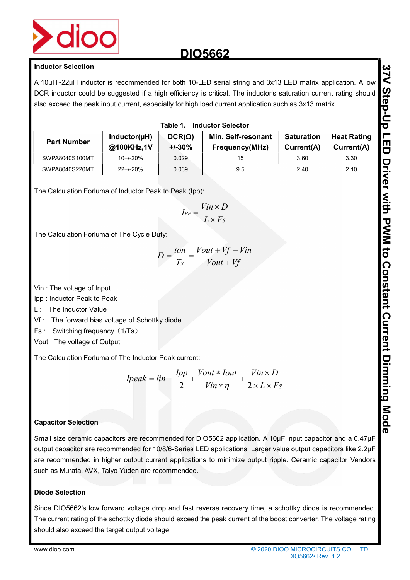

| <b>Inductor Selection</b>                                                                                                                                                                         |                            |                           |                                                                                                                                                                                                                                                                                                                                            |                                                          |                                  |
|---------------------------------------------------------------------------------------------------------------------------------------------------------------------------------------------------|----------------------------|---------------------------|--------------------------------------------------------------------------------------------------------------------------------------------------------------------------------------------------------------------------------------------------------------------------------------------------------------------------------------------|----------------------------------------------------------|----------------------------------|
|                                                                                                                                                                                                   |                            |                           | A 10µH~22µH inductor is recommended for both 10-LED serial string and 3x13 LED matrix application. A low<br>DCR inductor could be suggested if a high efficiency is critical. The inductor's saturation current rating should<br>also exceed the peak input current, especially for high load current application such as 3x13 matrix.     |                                                          |                                  |
|                                                                                                                                                                                                   |                            | Table 1.                  | <b>Inductor Selector</b>                                                                                                                                                                                                                                                                                                                   |                                                          |                                  |
| <b>Part Number</b>                                                                                                                                                                                | Inductor(µH)<br>@100KHz,1V | $DCR(\Omega)$<br>$+/-30%$ | Min. Self-resonant<br>Frequency(MHz)                                                                                                                                                                                                                                                                                                       | <b>Saturation</b><br>Current(A)                          | <b>Heat Rating</b><br>Current(A) |
| SWPA8040S100MT                                                                                                                                                                                    | $10+/-20%$                 | 0.029                     | 15                                                                                                                                                                                                                                                                                                                                         | 3.60                                                     | 3.30                             |
| SWPA8040S220MT                                                                                                                                                                                    | $22+/-20%$                 | 0.069                     | 9.5                                                                                                                                                                                                                                                                                                                                        | 2.40                                                     | 2.10                             |
| The Calculation Forluma of Inductor Peak to Peak (Ipp):<br>The Calculation Forluma of The Cycle Duty:<br>Vin: The voltage of Input<br>Ipp: Inductor Peak to Peak                                  |                            | $I_{PP} = -$              | $\frac{Vin \times D}{L \times F_s}$<br>$D = \frac{ton}{Ts} = \frac{Vout + Vf - Vin}{Vout + Vf}$                                                                                                                                                                                                                                            |                                                          |                                  |
| L: The Inductor Value<br>Vf: The forward bias voltage of Schottky diode<br>Fs: Switching frequency (1/Ts)<br>Vout: The voltage of Output<br>The Calculation Forluma of The Inductor Peak current: |                            |                           |                                                                                                                                                                                                                                                                                                                                            |                                                          |                                  |
|                                                                                                                                                                                                   |                            |                           |                                                                                                                                                                                                                                                                                                                                            |                                                          |                                  |
|                                                                                                                                                                                                   |                            |                           | $Ipeak = lin + \frac{Ipp}{2} + \frac{Vout * Iout}{Vin * \eta} + \frac{Vin \times D}{2 \times L \times Fs}$                                                                                                                                                                                                                                 |                                                          |                                  |
| <b>Capacitor Selection</b>                                                                                                                                                                        |                            |                           |                                                                                                                                                                                                                                                                                                                                            |                                                          |                                  |
| such as Murata, AVX, Taiyo Yuden are recommended.                                                                                                                                                 |                            |                           | Small size ceramic capacitors are recommended for DIO5662 application. A 10µF input capacitor and a 0.47µF<br>output capacitor are recommended for 10/8/6-Series LED applications. Larger value output capacitors like 2.2µF<br>are recommended in higher output current applications to minimize output ripple. Ceramic capacitor Vendors |                                                          |                                  |
| <b>Diode Selection</b>                                                                                                                                                                            |                            |                           |                                                                                                                                                                                                                                                                                                                                            |                                                          |                                  |
| should also exceed the target output voltage.                                                                                                                                                     |                            |                           | Since DIO5662's low forward voltage drop and fast reverse recovery time, a schottky diode is recommended.<br>The current rating of the schottky diode should exceed the peak current of the boost converter. The voltage rating                                                                                                            |                                                          |                                  |
| www.dioo.com                                                                                                                                                                                      |                            |                           |                                                                                                                                                                                                                                                                                                                                            | © 2020 DIOO MICROCIRCUITS CO., LTD<br>DIO5662 · Rev. 1.2 |                                  |

$$
I_{PP} = \frac{Vin \times D}{L \times Fs}
$$

$$
D = \frac{ton}{Ts} = \frac{Vout + Vf - Vin}{Vout + Vf}
$$

- L : The Inductor Value
- Vf : The forward bias voltage of Schottky diode
- Fs : Switching frequency (1/Ts)
- Vout : The voltage of Output

$$
Ipeak = lin + \frac{Ipp}{2} + \frac{Vout * Iout}{Vin * \eta} + \frac{Vin \times D}{2 \times L \times Fs}
$$

### Capacitor Selection

### Diode Selection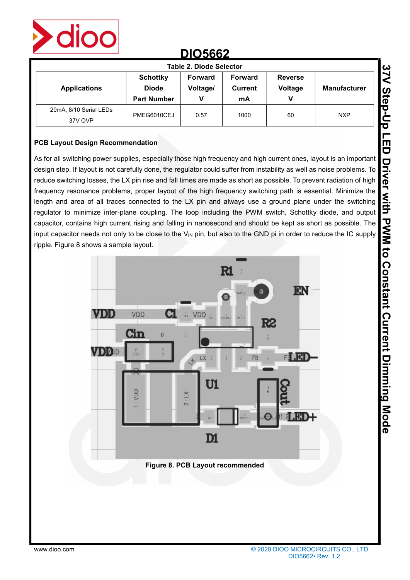

| Table 2. Diode Selector           |                                                       |                                                             |      |                                |                     |  |  |  |
|-----------------------------------|-------------------------------------------------------|-------------------------------------------------------------|------|--------------------------------|---------------------|--|--|--|
| <b>Applications</b>               | <b>Schottky</b><br><b>Diode</b><br><b>Part Number</b> | Forward<br><b>Forward</b><br>Voltage/<br>Current<br>v<br>mA |      | <b>Reverse</b><br>Voltage<br>v | <b>Manufacturer</b> |  |  |  |
| 20mA, 8/10 Serial LEDs<br>37V OVP | PMEG6010CEJ                                           | 0.57                                                        | 1000 | 60                             | <b>NXP</b>          |  |  |  |

### PCB Layout Design Recommendation

As for all switching power supplies, especially those high frequency and high current ones, layout is an important design step. If layout is not carefully done, the regulator could suffer from instability as well as noise problems. To reduce switching losses, the LX pin rise and fall times are made as short as possible. To prevent radiation of high frequency resonance problems, proper layout of the high frequency switching path is essential. Minimize the length and area of all traces connected to the LX pin and always use a ground plane under the switching regulator to minimize inter-plane coupling. The loop including the PWM switch, Schottky diode, and output capacitor, contains high current rising and falling in nanosecond and should be kept as short as possible. The input capacitor needs not only to be close to the  $V_{\text{IN}}$  pin, but also to the GND pi in order to reduce the IC supply ripple. Figure 8 shows a sample layout.